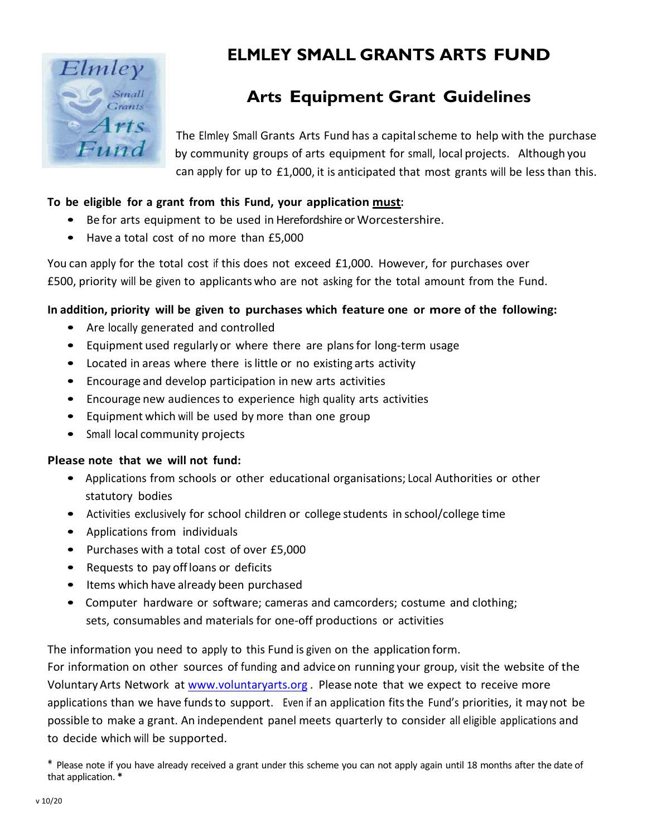

# **ELMLEY SMALL GRANTS ARTS FUND**

## **Arts Equipment Grant Guidelines**

The Elmley Small Grants Arts Fund has a capitalscheme to help with the purchase by community groups of arts equipment for small, local projects. Although you can apply for up to £1,000, it is anticipated that most grants will be less than this.

#### **To be eligible for a grant from this Fund, your application must:**

- Be for arts equipment to be used in Herefordshire or Worcestershire.
- Have a total cost of no more than £5,000

You can apply for the total cost if this does not exceed £1,000. However, for purchases over £500, priority will be given to applicantswho are not asking for the total amount from the Fund.

### **In addition, priority will be given to purchases which feature one or more of the following:**

- Are locally generated and controlled
- Equipment used regularly or where there are plansfor long‐term usage
- Located in areas where there is little or no existing arts activity
- Encourage and develop participation in new arts activities
- Encourage new audiences to experience high quality arts activities
- Equipment which will be used by more than one group
- Small local community projects

#### **Please note that we will not fund:**

- Applications from schools or other educational organisations; Local Authorities or other statutory bodies
- Activities exclusively for school children or college students in school/college time
- Applications from individuals
- Purchases with a total cost of over £5,000
- Requests to pay offloans or deficits
- Items which have already been purchased
- Computer hardware or software; cameras and camcorders; costume and clothing; sets, consumables and materials for one‐off productions or activities

The information you need to apply to this Fund is given on the application form.

For information on other sources of funding and advice on running your group, visit the website of the VoluntaryArts Network at [www.voluntaryarts.org](http://www.voluntaryarts.org/) . Please note that we expect to receive more applications than we have funds to support. Even if an application fits the Fund's priorities, it may not be possible to make a grant. An independent panel meets quarterly to consider all eligible applications and to decide which will be supported.

<sup>\*</sup> Please note if you have already received a grant under this scheme you can not apply again until 18 months after the date of that application. **\***